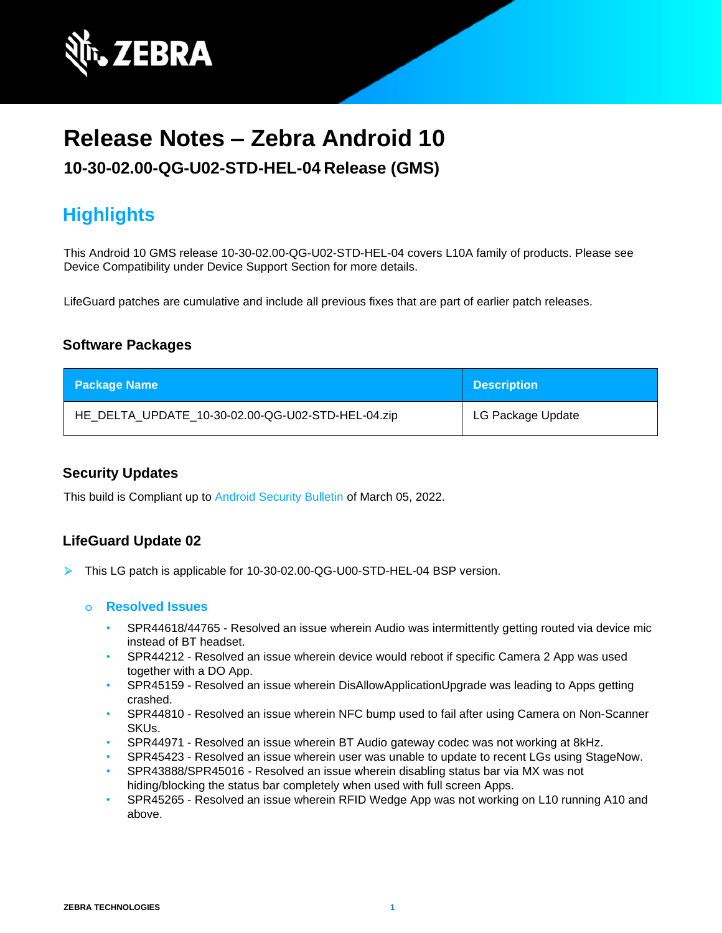

# **Release Notes – Zebra Android 10**

## **10-30-02.00-QG-U02-STD-HEL-04 Release (GMS)**

## **Highlights**

This Android 10 GMS release 10-30-02.00-QG-U02-STD-HEL-04 covers L10A family of products. Please see Device Compatibility under Device Support Section for more details.

LifeGuard patches are cumulative and include all previous fixes that are part of earlier patch releases.

### **Software Packages**

| <b>Package Name</b>                               | <b>Description</b> |
|---------------------------------------------------|--------------------|
| HE_DELTA_UPDATE_10-30-02.00-QG-U02-STD-HEL-04.zip | LG Package Update  |

### **Security Updates**

This build is Compliant up to [Android Security Bulletin](https://source.android.com/security/bulletin/) of March 05, 2022.

### **LifeGuard Update 02**

➢ This LG patch is applicable for 10-30-02.00-QG-U00-STD-HEL-04 BSP version.

#### **o Resolved Issues**

- SPR44618/44765 Resolved an issue wherein Audio was intermittently getting routed via device mic instead of BT headset.
- SPR44212 Resolved an issue wherein device would reboot if specific Camera 2 App was used together with a DO App.
- SPR45159 Resolved an issue wherein DisAllowApplicationUpgrade was leading to Apps getting crashed.
- SPR44810 Resolved an issue wherein NFC bump used to fail after using Camera on Non-Scanner SKUs.
- SPR44971 Resolved an issue wherein BT Audio gateway codec was not working at 8kHz.
- SPR45423 Resolved an issue wherein user was unable to update to recent LGs using StageNow.
- SPR43888/SPR45016 Resolved an issue wherein disabling status bar via MX was not hiding/blocking the status bar completely when used with full screen Apps.
- SPR45265 Resolved an issue wherein RFID Wedge App was not working on L10 running A10 and above.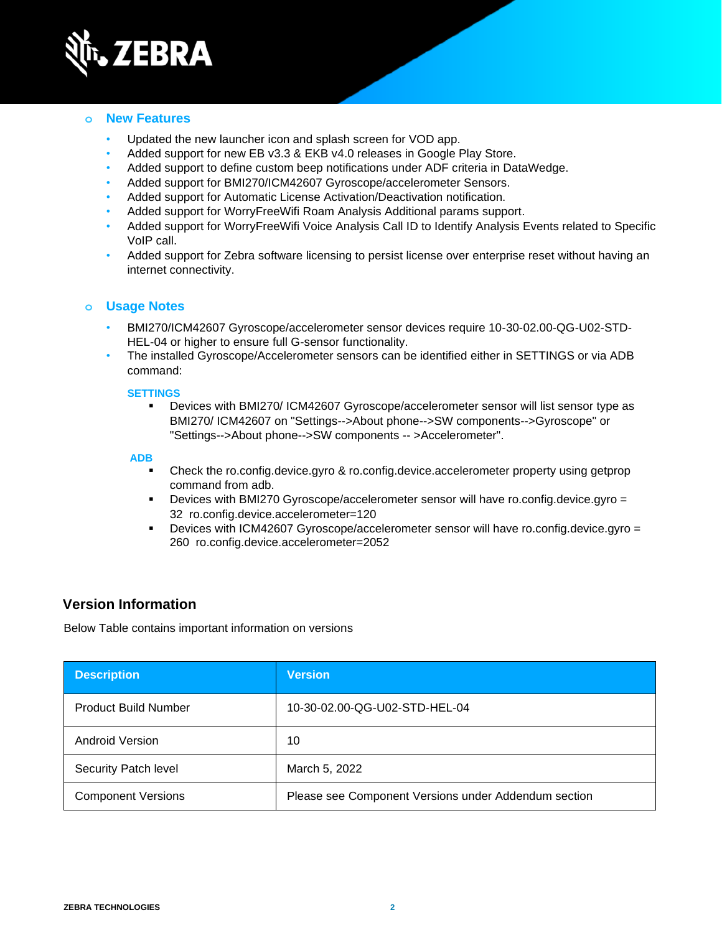

### **o New Features**

- Updated the new launcher icon and splash screen for VOD app.
- Added support for new EB v3.3 & EKB v4.0 releases in Google Play Store.
- Added support to define custom beep notifications under ADF criteria in DataWedge.
- Added support for BMI270/ICM42607 Gyroscope/accelerometer Sensors.
- Added support for Automatic License Activation/Deactivation notification.
- Added support for WorryFreeWifi Roam Analysis Additional params support.
- Added support for WorryFreeWifi Voice Analysis Call ID to Identify Analysis Events related to Specific VoIP call.
- Added support for Zebra software licensing to persist license over enterprise reset without having an internet connectivity.

### **o Usage Notes**

- BMI270/ICM42607 Gyroscope/accelerometer sensor devices require 10-30-02.00-QG-U02-STD-HEL-04 or higher to ensure full G-sensor functionality.
- The installed Gyroscope/Accelerometer sensors can be identified either in SETTINGS or via ADB command:

#### **SETTINGS**

▪ Devices with BMI270/ ICM42607 Gyroscope/accelerometer sensor will list sensor type as BMI270/ ICM42607 on "Settings-->About phone-->SW components-->Gyroscope" or "Settings-->About phone-->SW components -- >Accelerometer".

#### **ADB**

- Check the ro.config.device.gyro & ro.config.device.accelerometer property using getprop command from adb.
- Devices with BMI270 Gyroscope/accelerometer sensor will have ro.config.device.gyro = 32 ro.config.device.accelerometer=120
- Devices with ICM42607 Gyroscope/accelerometer sensor will have ro.config.device.gyro = 260 ro.config.device.accelerometer=2052

### **Version Information**

Below Table contains important information on versions

| <b>Description</b>          | <b>Version</b>                                       |
|-----------------------------|------------------------------------------------------|
| <b>Product Build Number</b> | 10-30-02.00-QG-U02-STD-HEL-04                        |
| Android Version             | 10                                                   |
| Security Patch level        | March 5, 2022                                        |
| <b>Component Versions</b>   | Please see Component Versions under Addendum section |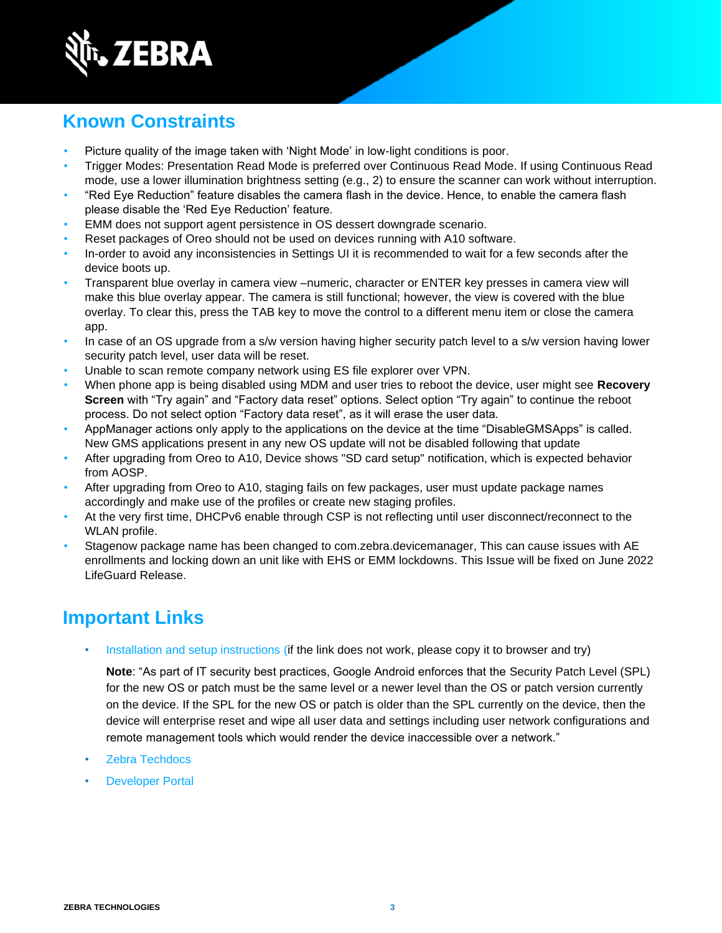

## **Known Constraints**

- Picture quality of the image taken with 'Night Mode' in low-light conditions is poor.
- Trigger Modes: Presentation Read Mode is preferred over Continuous Read Mode. If using Continuous Read mode, use a lower illumination brightness setting (e.g., 2) to ensure the scanner can work without interruption.
- "Red Eye Reduction" feature disables the camera flash in the device. Hence, to enable the camera flash please disable the 'Red Eye Reduction' feature.
- EMM does not support agent persistence in OS dessert downgrade scenario.
- Reset packages of Oreo should not be used on devices running with A10 software.
- In-order to avoid any inconsistencies in Settings UI it is recommended to wait for a few seconds after the device boots up.
- Transparent blue overlay in camera view –numeric, character or ENTER key presses in camera view will make this blue overlay appear. The camera is still functional; however, the view is covered with the blue overlay. To clear this, press the TAB key to move the control to a different menu item or close the camera app.
- In case of an OS upgrade from a s/w version having higher security patch level to a s/w version having lower security patch level, user data will be reset.
- Unable to scan remote company network using ES file explorer over VPN.
- When phone app is being disabled using MDM and user tries to reboot the device, user might see **Recovery Screen** with "Try again" and "Factory data reset" options. Select option "Try again" to continue the reboot process. Do not select option "Factory data reset", as it will erase the user data.
- AppManager actions only apply to the applications on the device at the time "DisableGMSApps" is called. New GMS applications present in any new OS update will not be disabled following that update
- After upgrading from Oreo to A10, Device shows "SD card setup" notification, which is expected behavior from AOSP.
- After upgrading from Oreo to A10, staging fails on few packages, user must update package names accordingly and make use of the profiles or create new staging profiles.
- At the very first time, DHCPv6 enable through CSP is not reflecting until user disconnect/reconnect to the WLAN profile.
- Stagenow package name has been changed to com.zebra.devicemanager, This can cause issues with AE enrollments and locking down an unit like with EHS or EMM lockdowns. This Issue will be fixed on June 2022 LifeGuard Release.

## **Important Links**

[Installation and setup instructions](https://www.zebra.com/content/dam/zebra_new_ia/en-us/software/operating-system/helios/a10-os-update-instructions.pdf) (if the link does not work, please copy it to browser and try)

**Note**: "As part of IT security best practices, Google Android enforces that the Security Patch Level (SPL) for the new OS or patch must be the same level or a newer level than the OS or patch version currently on the device. If the SPL for the new OS or patch is older than the SPL currently on the device, then the device will enterprise reset and wipe all user data and settings including user network configurations and remote management tools which would render the device inaccessible over a network."

- [Zebra Techdocs](http://techdocs.zebra.com/)
- **[Developer Portal](http://developer.zebra.com/)**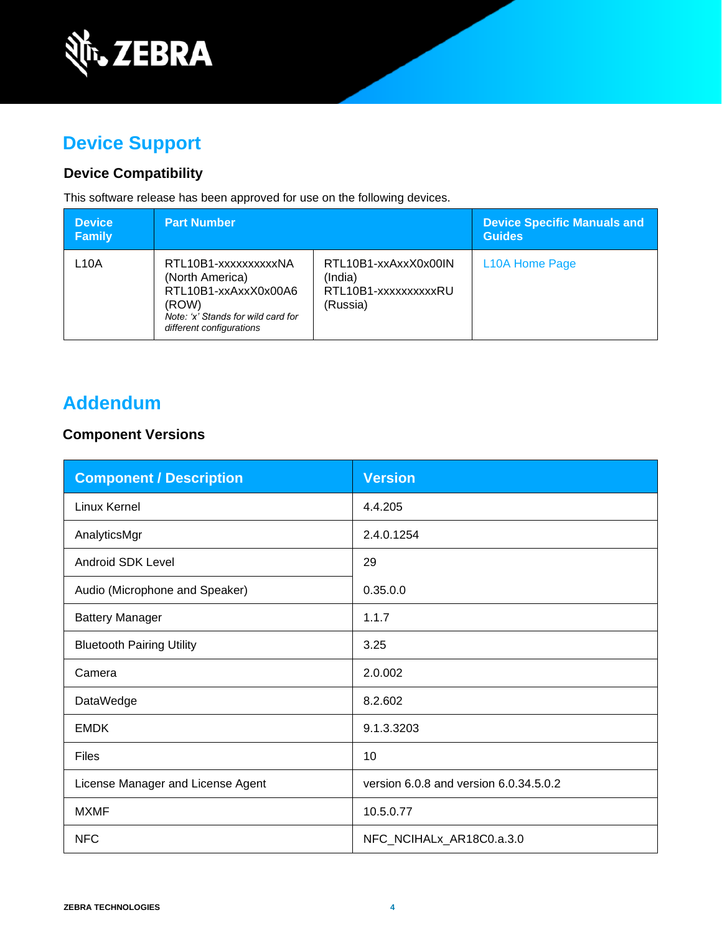

## **Device Support**

## **Device Compatibility**

This software release has been approved for use on the following devices.

| <b>Device</b><br><b>Family</b> | <b>Part Number</b>                                                                                                                         |                                                                     | <b>Device Specific Manuals and</b><br><b>Guides</b> |
|--------------------------------|--------------------------------------------------------------------------------------------------------------------------------------------|---------------------------------------------------------------------|-----------------------------------------------------|
| L10A                           | RTL10B1-xxxxxxxxxxNA<br>(North America)<br>RTL10B1-xxAxxX0x00A6<br>(ROW)<br>Note: 'x' Stands for wild card for<br>different configurations | RTL10B1-xxAxxX0x00IN<br>(India)<br>RTL10B1-xxxxxxxxxxRU<br>(Russia) | L <sub>10</sub> A Home Page                         |

## **Addendum**

### **Component Versions**

| <b>Component / Description</b>    | <b>Version</b>                         |
|-----------------------------------|----------------------------------------|
| Linux Kernel                      | 4.4.205                                |
| AnalyticsMgr                      | 2.4.0.1254                             |
| <b>Android SDK Level</b>          | 29                                     |
| Audio (Microphone and Speaker)    | 0.35.0.0                               |
| <b>Battery Manager</b>            | 1.1.7                                  |
| <b>Bluetooth Pairing Utility</b>  | 3.25                                   |
| Camera                            | 2.0.002                                |
| DataWedge                         | 8.2.602                                |
| <b>EMDK</b>                       | 9.1.3.3203                             |
| Files                             | 10                                     |
| License Manager and License Agent | version 6.0.8 and version 6.0.34.5.0.2 |
| <b>MXMF</b>                       | 10.5.0.77                              |
| <b>NFC</b>                        | NFC_NCIHALx_AR18C0.a.3.0               |